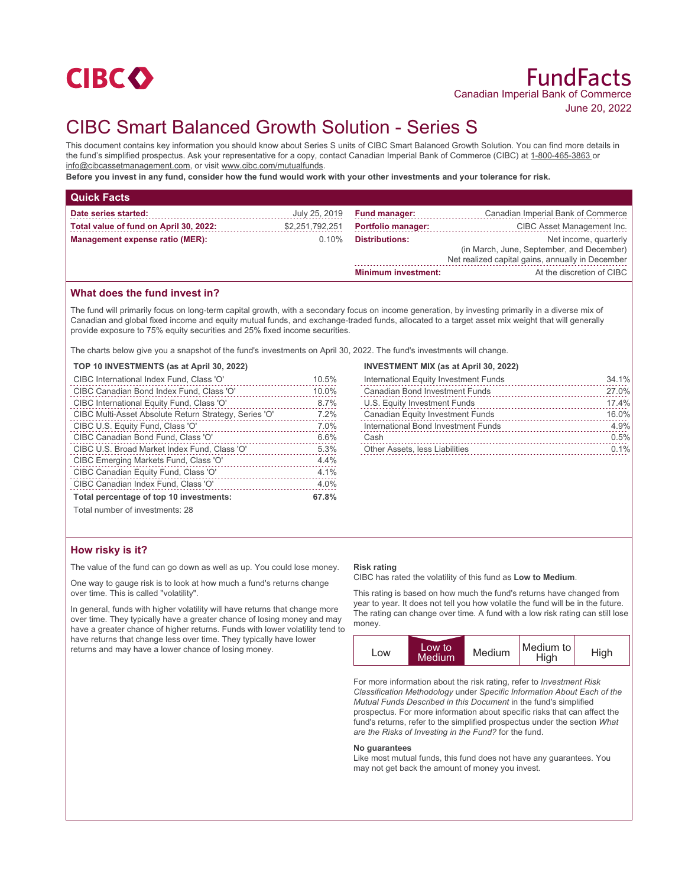

# CIBC Smart Balanced Growth Solution - Series S

This document contains key information you should know about Series S units of CIBC Smart Balanced Growth Solution. You can find more details in the fund's simplified prospectus. Ask your representative for a copy, contact Canadian Imperial Bank of Commerce (CIBC) at 1-800-465-3863 or info@cibcassetmanagement.com, or visit www.cibc.com/mutualfunds.

**Before you invest in any fund, consider how the fund would work with your other investments and your tolerance for risk.**

| <b>Quick Facts</b>                     |                 |                            |                                                                                                                        |  |
|----------------------------------------|-----------------|----------------------------|------------------------------------------------------------------------------------------------------------------------|--|
| Date series started:                   | July 25, 2019   | <b>Fund manager:</b>       | Canadian Imperial Bank of Commerce                                                                                     |  |
| Total value of fund on April 30, 2022: | \$2,251,792,251 | <b>Portfolio manager:</b>  | CIBC Asset Management Inc.                                                                                             |  |
| Management expense ratio (MER):        | $0.10\%$        | <b>Distributions:</b>      | Net income, quarterly<br>(in March, June, September, and December)<br>Net realized capital gains, annually in December |  |
|                                        |                 | <b>Minimum investment:</b> | At the discretion of CIBC                                                                                              |  |

## **What does the fund invest in?**

The fund will primarily focus on long-term capital growth, with a secondary focus on income generation, by investing primarily in a diverse mix of Canadian and global fixed income and equity mutual funds, and exchange-traded funds, allocated to a target asset mix weight that will generally provide exposure to 75% equity securities and 25% fixed income securities.

The charts below give you a snapshot of the fund's investments on April 30, 2022. The fund's investments will change.

| TOP 10 INVESTMENTS (as at April 30, 2022)             |       |
|-------------------------------------------------------|-------|
| CIBC International Index Fund, Class 'O'              | 10.5% |
| CIBC Canadian Bond Index Fund, Class 'O'              | 10.0% |
| CIBC International Equity Fund, Class 'O'             | 8.7%  |
| CIBC Multi-Asset Absolute Return Strategy, Series 'O' | 7.2%  |
| CIBC U.S. Equity Fund, Class 'O'                      | 7.0%  |
| CIBC Canadian Bond Fund, Class 'O'                    | 6.6%  |
| CIBC U.S. Broad Market Index Fund, Class 'O'          | 5.3%  |
| CIBC Emerging Markets Fund, Class 'O'                 | 4.4%  |
| CIBC Canadian Equity Fund, Class 'O'                  | 4.1%  |
| CIBC Canadian Index Fund, Class 'O'                   | 4.0%  |
| Total percentage of top 10 investments:               | 67.8% |
|                                                       |       |

### **INVESTMENT MIX (as at April 30, 2022)**

| International Equity Investment Funds   | 34.1% |
|-----------------------------------------|-------|
| <b>Canadian Bond Investment Funds</b>   | 27.0% |
| U.S. Equity Investment Funds            | 17.4% |
| <b>Canadian Equity Investment Funds</b> | 16.0% |
| International Bond Investment Funds     | 4.9%  |
| Cash                                    | 0.5%  |
| Other Assets, less Liabilities          | 0.1%  |

Total number of investments: 28

## **How risky is it?**

The value of the fund can go down as well as up. You could lose money.

One way to gauge risk is to look at how much a fund's returns change over time. This is called "volatility".

In general, funds with higher volatility will have returns that change more over time. They typically have a greater chance of losing money and may have a greater chance of higher returns. Funds with lower volatility tend to have returns that change less over time. They typically have lower returns and may have a lower chance of losing money.

#### **Risk rating**

CIBC has rated the volatility of this fund as **Low to Medium**.

This rating is based on how much the fund's returns have changed from year to year. It does not tell you how volatile the fund will be in the future. The rating can change over time. A fund with a low risk rating can still lose money.



For more information about the risk rating, refer to *Investment Risk Classification Methodology* under *Specific Information About Each of the Mutual Funds Described in this Document* in the fund's simplified prospectus. For more information about specific risks that can affect the fund's returns, refer to the simplified prospectus under the section *What are the Risks of Investing in the Fund?* for the fund.

#### **No guarantees**

Like most mutual funds, this fund does not have any guarantees. You may not get back the amount of money you invest.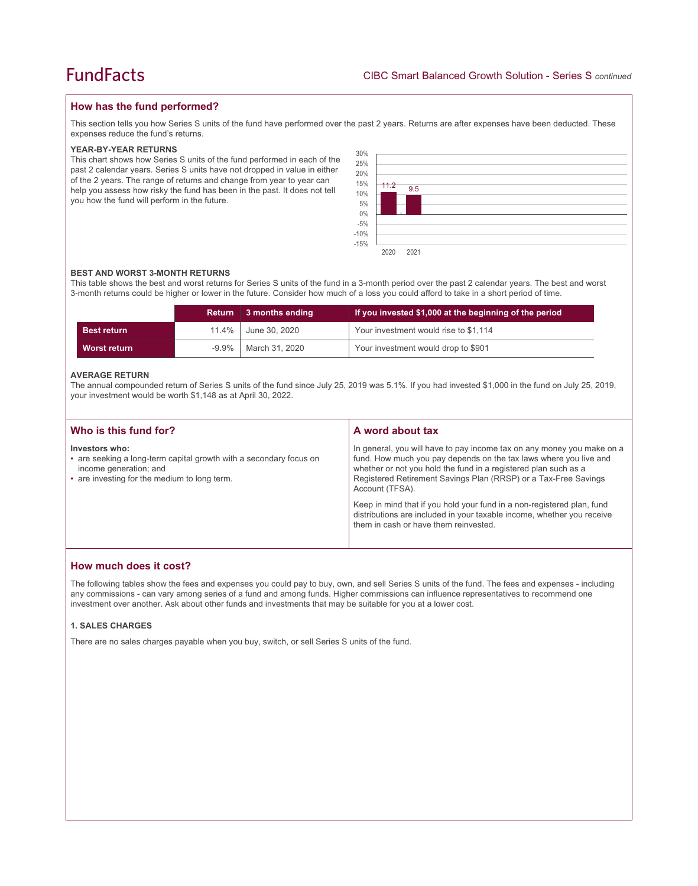## **How has the fund performed?**

This section tells you how Series S units of the fund have performed over the past 2 years. Returns are after expenses have been deducted. These expenses reduce the fund's returns.

#### **YEAR-BY-YEAR RETURNS**

This chart shows how Series S units of the fund performed in each of the past 2 calendar years. Series S units have not dropped in value in either of the 2 years. The range of returns and change from year to year can help you assess how risky the fund has been in the past. It does not tell you how the fund will perform in the future.



#### **BEST AND WORST 3-MONTH RETURNS**

This table shows the best and worst returns for Series S units of the fund in a 3-month period over the past 2 calendar years. The best and worst 3-month returns could be higher or lower in the future. Consider how much of a loss you could afford to take in a short period of time.

|                     |          | Return 3 months ending | If you invested \$1,000 at the beginning of the period |
|---------------------|----------|------------------------|--------------------------------------------------------|
| <b>Best return</b>  | 11.4%    | June 30, 2020          | Your investment would rise to \$1,114                  |
| <b>Worst return</b> | $-9.9\%$ | March 31, 2020         | Your investment would drop to \$901                    |

#### **AVERAGE RETURN**

The annual compounded return of Series S units of the fund since July 25, 2019 was 5.1%. If you had invested \$1,000 in the fund on July 25, 2019, your investment would be worth \$1,148 as at April 30, 2022.

| Who is this fund for?                                                                                                                                          | A word about tax                                                                                                                                                                                                                                                                                     |
|----------------------------------------------------------------------------------------------------------------------------------------------------------------|------------------------------------------------------------------------------------------------------------------------------------------------------------------------------------------------------------------------------------------------------------------------------------------------------|
| Investors who:<br>• are seeking a long-term capital growth with a secondary focus on<br>income generation; and<br>• are investing for the medium to long term. | In general, you will have to pay income tax on any money you make on a<br>fund. How much you pay depends on the tax laws where you live and<br>whether or not you hold the fund in a registered plan such as a<br>Registered Retirement Savings Plan (RRSP) or a Tax-Free Savings<br>Account (TFSA). |
|                                                                                                                                                                | Keep in mind that if you hold your fund in a non-registered plan, fund<br>distributions are included in your taxable income, whether you receive<br>them in cash or have them reinvested.                                                                                                            |

## **How much does it cost?**

The following tables show the fees and expenses you could pay to buy, own, and sell Series S units of the fund. The fees and expenses - including any commissions - can vary among series of a fund and among funds. Higher commissions can influence representatives to recommend one investment over another. Ask about other funds and investments that may be suitable for you at a lower cost.

#### **1. SALES CHARGES**

There are no sales charges payable when you buy, switch, or sell Series S units of the fund.